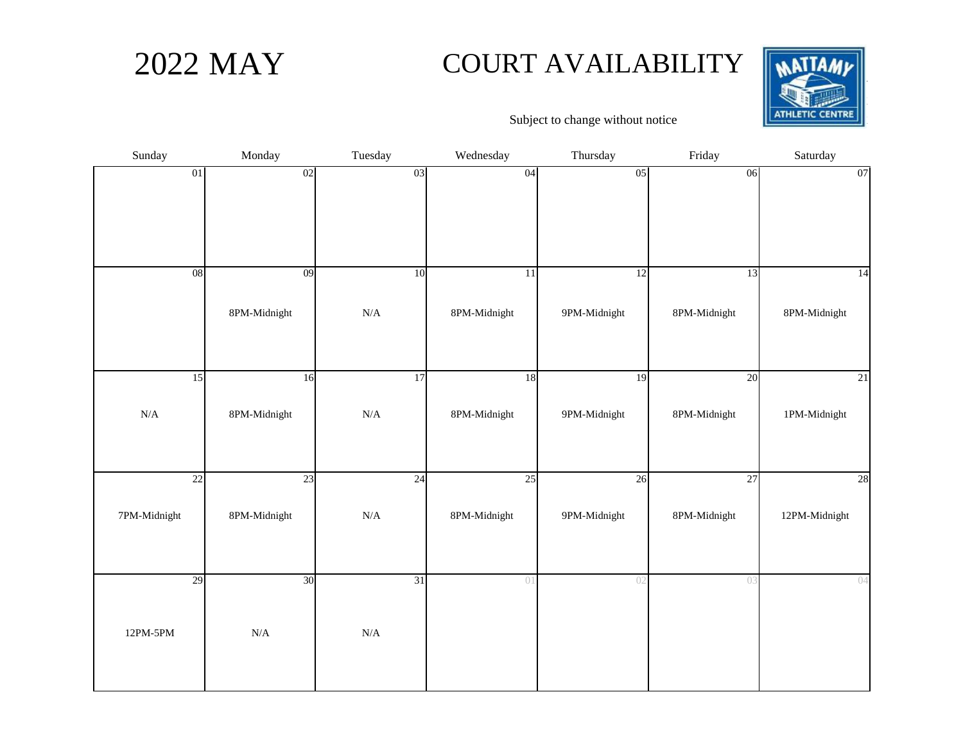## 2022 MAY COURT AVAILABILITY



| Sunday       | Monday       | Tuesday   | Wednesday    | Thursday     | Friday       | Saturday      |
|--------------|--------------|-----------|--------------|--------------|--------------|---------------|
| 01           | 02           | 03        | 04           | 05           | 06           | 07            |
| 08           | 09           | 10        | 11           | 12           | 13           | 14            |
|              | 8PM-Midnight | $\rm N/A$ | 8PM-Midnight | 9PM-Midnight | 8PM-Midnight | 8PM-Midnight  |
| 15           | 16           | 17        | 18           | 19           | 20           | 21            |
| $\rm N/A$    | 8PM-Midnight | $\rm N/A$ | 8PM-Midnight | 9PM-Midnight | 8PM-Midnight | 1PM-Midnight  |
| 22           | 23           | 24        | 25           | 26           | 27           | 28            |
| 7PM-Midnight | 8PM-Midnight | $\rm N/A$ | 8PM-Midnight | 9PM-Midnight | 8PM-Midnight | 12PM-Midnight |
| 29           | 30           | 31        | 01           | 02           | 03           | 04            |
| 12PM-5PM     | $\rm N/A$    | $\rm N/A$ |              |              |              |               |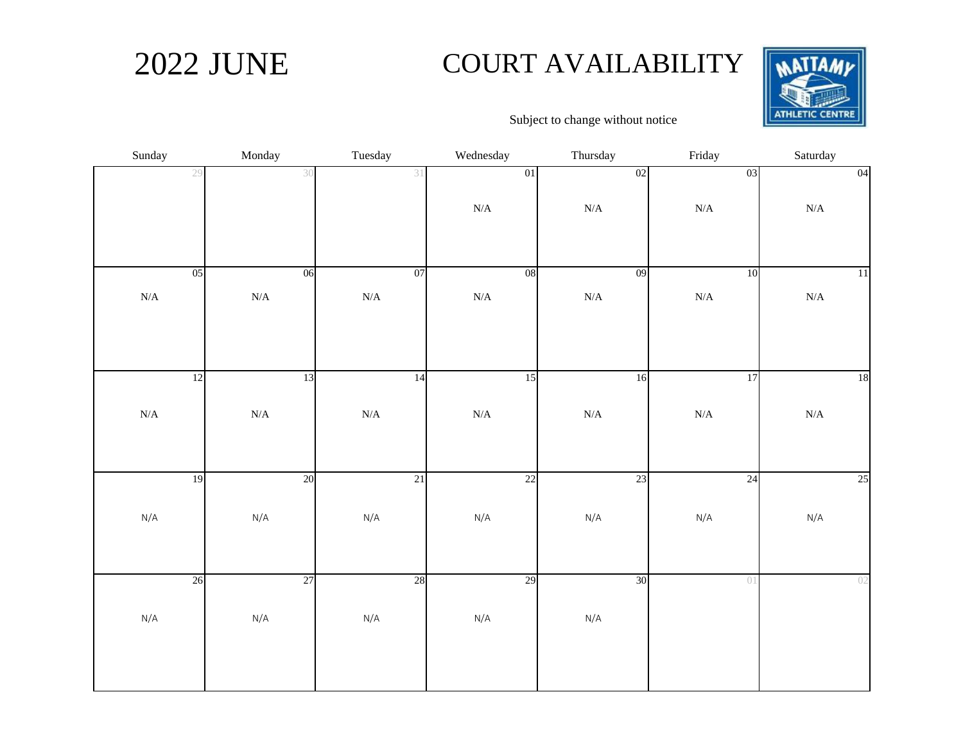## 2022 JUNE COURT AVAILABILITY



| Sunday    | Monday    | Tuesday   | Wednesday  | Thursday  | Friday    | Saturday  |
|-----------|-----------|-----------|------------|-----------|-----------|-----------|
| 29        | 30        | 31        | 01         | 02        | 03        | 04        |
|           |           |           | $\rm N/A$  | $\rm N/A$ | $\rm N/A$ | $\rm N/A$ |
| 05        | 06        | 07        | ${\bf 08}$ | 09        | 10        | $11\,$    |
| $\rm N/A$ | $\rm N/A$ | $\rm N/A$ | $\rm N/A$  | $\rm N/A$ | $\rm N/A$ | $\rm N/A$ |
|           |           |           |            |           |           |           |
| 12        | 13        | 14        | 15         | 16        | 17        | 18        |
| $\rm N/A$ | $\rm N/A$ | $\rm N/A$ | $\rm N/A$  | $\rm N/A$ | $\rm N/A$ | $\rm N/A$ |
|           |           |           |            |           |           |           |
| 19        | 20        | 21        | 22         | 23        | 24        | 25        |
| N/A       | $\rm N/A$ | $\rm N/A$ | $\rm N/A$  | N/A       | N/A       | N/A       |
| 26        | 27        | 28        | 29         | 30        | 01        | 02        |
|           |           |           |            |           |           |           |
| $\rm N/A$ | N/A       | N/A       | $\rm N/A$  | $\rm N/A$ |           |           |
|           |           |           |            |           |           |           |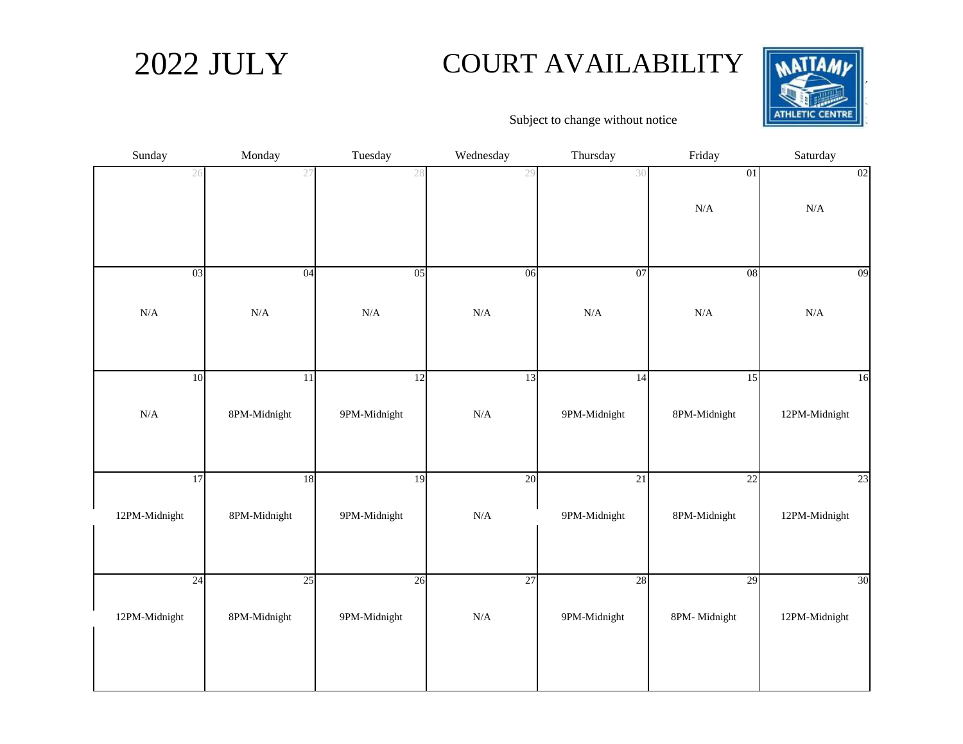## 2022 JULY COURT AVAILABILITY



| Sunday        | Monday          | Tuesday      | Wednesday | Thursday     | Friday       | Saturday      |
|---------------|-----------------|--------------|-----------|--------------|--------------|---------------|
| 26            | 27              | 28           | 29        | 30           | 01           | 02            |
|               |                 |              |           |              | $\rm N/A$    | ${\bf N/A}$   |
|               |                 |              |           |              |              |               |
| 03            | 04              | 05           | 06        | 07           | 08           | 09            |
| $\rm N/A$     | $\rm N/A$       | $\rm N/A$    | $\rm N/A$ | $\rm N/A$    | $\rm N/A$    | $\rm N/A$     |
|               |                 |              |           |              |              |               |
| 10            | $\overline{11}$ | 12           | 13        | 14           | 15           | 16            |
| $\rm N/A$     | 8PM-Midnight    | 9PM-Midnight | $\rm N/A$ | 9PM-Midnight | 8PM-Midnight | 12PM-Midnight |
|               |                 |              |           |              |              |               |
| 17            | 18              | 19           | 20        | 21           | 22           | 23            |
| 12PM-Midnight | 8PM-Midnight    | 9PM-Midnight | $\rm N/A$ | 9PM-Midnight | 8PM-Midnight | 12PM-Midnight |
|               |                 |              |           |              |              |               |
| 24            | 25              | 26           | 27        | 28           | 29           | 30            |
| 12PM-Midnight | 8PM-Midnight    | 9PM-Midnight | $\rm N/A$ | 9PM-Midnight | 8PM-Midnight | 12PM-Midnight |
|               |                 |              |           |              |              |               |
|               |                 |              |           |              |              |               |